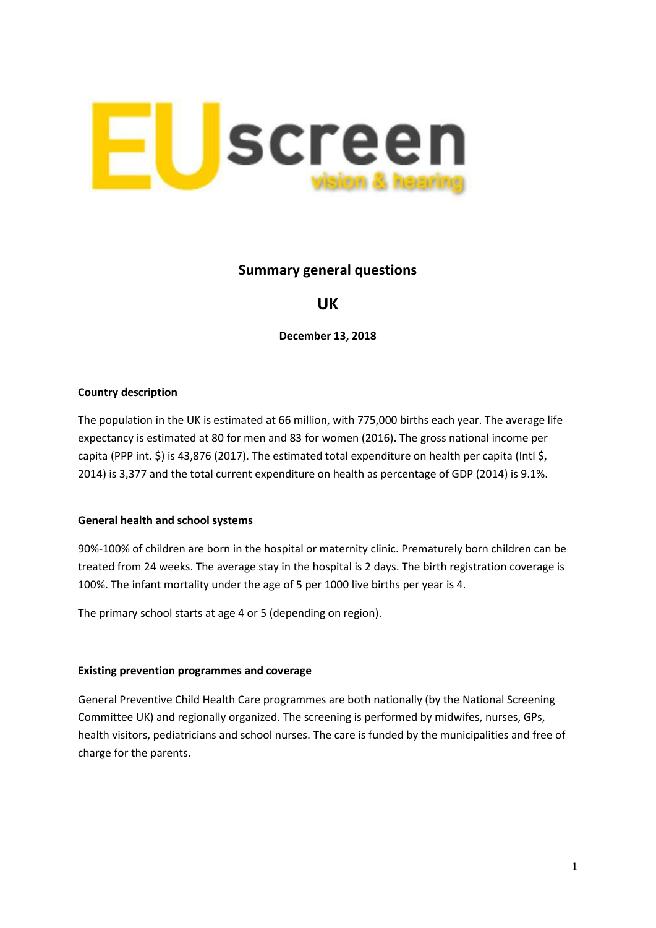

## **Summary general questions**

# **UK**

**December 13, 2018**

#### **Country description**

The population in the UK is estimated at 66 million, with 775,000 births each year. The average life expectancy is estimated at 80 for men and 83 for women (2016). The gross national income per capita (PPP int. \$) is 43,876 (2017). The estimated total expenditure on health per capita (Intl \$, 2014) is 3,377 and the total current expenditure on health as percentage of GDP (2014) is 9.1%.

#### **General health and school systems**

90%-100% of children are born in the hospital or maternity clinic. Prematurely born children can be treated from 24 weeks. The average stay in the hospital is 2 days. The birth registration coverage is 100%. The infant mortality under the age of 5 per 1000 live births per year is 4.

The primary school starts at age 4 or 5 (depending on region).

### **Existing prevention programmes and coverage**

General Preventive Child Health Care programmes are both nationally (by the National Screening Committee UK) and regionally organized. The screening is performed by midwifes, nurses, GPs, health visitors, pediatricians and school nurses. The care is funded by the municipalities and free of charge for the parents.